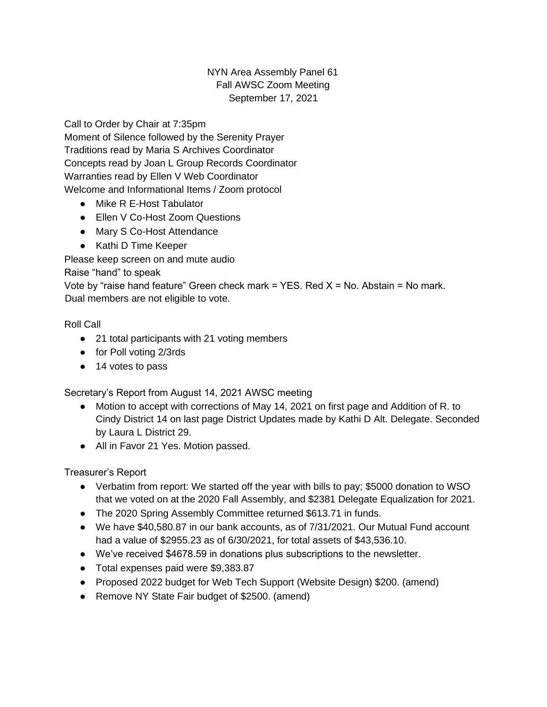## NYN Area Assembly Panel 61 Fall AWSC Zoom Meeting September 17, 2021

Call to Order by Chair at 7:35pm Moment of Silence followed by the Serenity Prayer Traditions read by Maria S Archives Coordinator Concepts read by Joan L Group Records Coordinator Warranties read by Ellen V Web Coordinator Welcome and Informational Items / Zoom protocol

- Mike R E-Host Tabulator
- Ellen V Co-Host Zoom Questions
- Mary S Co-Host Attendance
- Kathi D Time Keeper

Please keep screen on and mute audio

Raise "hand" to speak

Vote by "raise hand feature" Green check mark = YES. Red  $X = No$ . Abstain = No mark. Dual members are not eligible to vote.

Roll Call

- 21 total participants with 21 voting members
- for Poll voting 2/3rds
- 14 votes to pass

Secretary's Report from August 14, 2021 AWSC meeting

- Motion to accept with corrections of May 14, 2021 on first page and Addition of R. to Cindy District 14 on last page District Updates made by Kathi D Alt. Delegate. Seconded by Laura L District 29.
- All in Favor 21 Yes. Motion passed.

Treasurer's Report

- Verbatim from report: We started off the year with bills to pay; \$5000 donation to WSO that we voted on at the 2020 Fall Assembly, and \$2381 Delegate Equalization for 2021.
- The 2020 Spring Assembly Committee returned \$613.71 in funds.
- We have \$40,580.87 in our bank accounts, as of 7/31/2021. Our Mutual Fund account had a value of \$2955.23 as of 6/30/2021, for total assets of \$43,536.10.
- We've received \$4678.59 in donations plus subscriptions to the newsletter.
- Total expenses paid were \$9,383.87
- Proposed 2022 budget for Web Tech Support (Website Design) \$200. (amend)
- Remove NY State Fair budget of \$2500. (amend)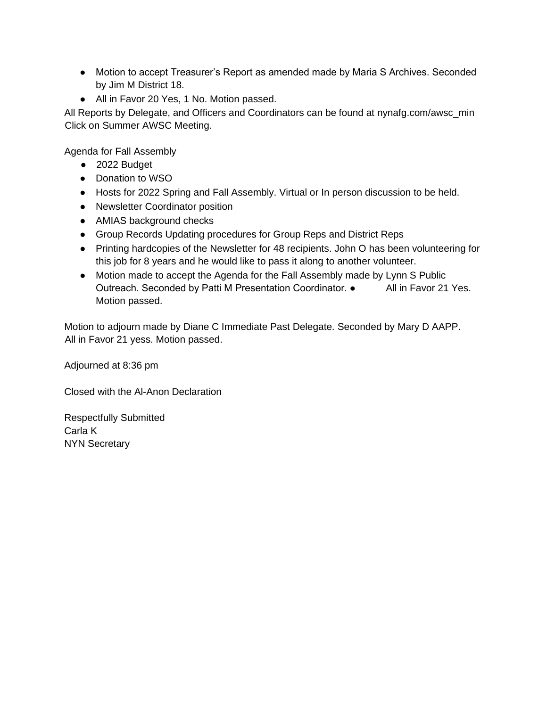- Motion to accept Treasurer's Report as amended made by Maria S Archives. Seconded by Jim M District 18.
- All in Favor 20 Yes, 1 No. Motion passed.

All Reports by Delegate, and Officers and Coordinators can be found at nynafg.com/awsc\_min Click on Summer AWSC Meeting.

Agenda for Fall Assembly

- 2022 Budget
- Donation to WSO
- Hosts for 2022 Spring and Fall Assembly. Virtual or In person discussion to be held.
- Newsletter Coordinator position
- AMIAS background checks
- Group Records Updating procedures for Group Reps and District Reps
- Printing hardcopies of the Newsletter for 48 recipients. John O has been volunteering for this job for 8 years and he would like to pass it along to another volunteer.
- Motion made to accept the Agenda for the Fall Assembly made by Lynn S Public Outreach. Seconded by Patti M Presentation Coordinator. ● All in Favor 21 Yes. Motion passed.

Motion to adjourn made by Diane C Immediate Past Delegate. Seconded by Mary D AAPP. All in Favor 21 yess. Motion passed.

Adjourned at 8:36 pm

Closed with the Al-Anon Declaration

Respectfully Submitted Carla K NYN Secretary